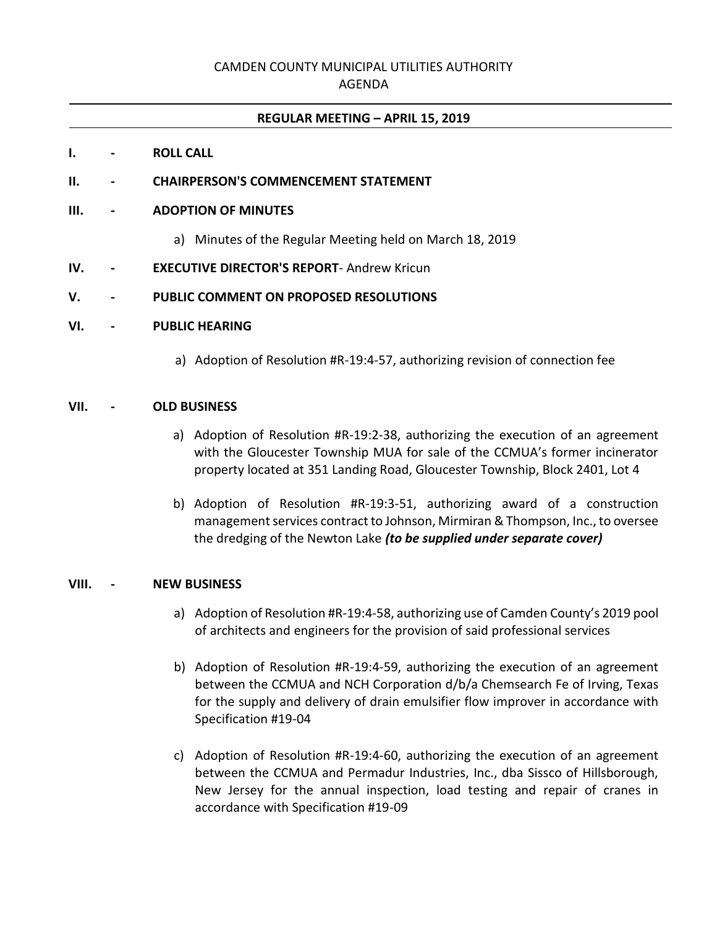# CAMDEN COUNTY MUNICIPAL UTILITIES AUTHORITY

AGENDA

## **REGULAR MEETING – APRIL 15, 2019**

## **I. - ROLL CALL**

## **II. - CHAIRPERSON'S COMMENCEMENT STATEMENT**

## **III. - ADOPTION OF MINUTES**

a) Minutes of the Regular Meeting held on March 18, 2019

## **IV. - EXECUTIVE DIRECTOR'S REPORT**- Andrew Kricun

## **V. - PUBLIC COMMENT ON PROPOSED RESOLUTIONS**

## **VI. - PUBLIC HEARING**

a) Adoption of Resolution #R-19:4-57, authorizing revision of connection fee

## **VII. - OLD BUSINESS**

- a) Adoption of Resolution #R-19:2-38, authorizing the execution of an agreement with the Gloucester Township MUA for sale of the CCMUA's former incinerator property located at 351 Landing Road, Gloucester Township, Block 2401, Lot 4
- b) Adoption of Resolution #R-19:3-51, authorizing award of a construction management services contract to Johnson, Mirmiran & Thompson, Inc., to oversee the dredging of the Newton Lake *(to be supplied under separate cover)*

## **VIII. - NEW BUSINESS**

- a) Adoption of Resolution #R-19:4-58, authorizing use of Camden County's 2019 pool of architects and engineers for the provision of said professional services
- b) Adoption of Resolution #R-19:4-59, authorizing the execution of an agreement between the CCMUA and NCH Corporation d/b/a Chemsearch Fe of Irving, Texas for the supply and delivery of drain emulsifier flow improver in accordance with Specification #19-04
- c) Adoption of Resolution #R-19:4-60, authorizing the execution of an agreement between the CCMUA and Permadur Industries, Inc., dba Sissco of Hillsborough, New Jersey for the annual inspection, load testing and repair of cranes in accordance with Specification #19-09